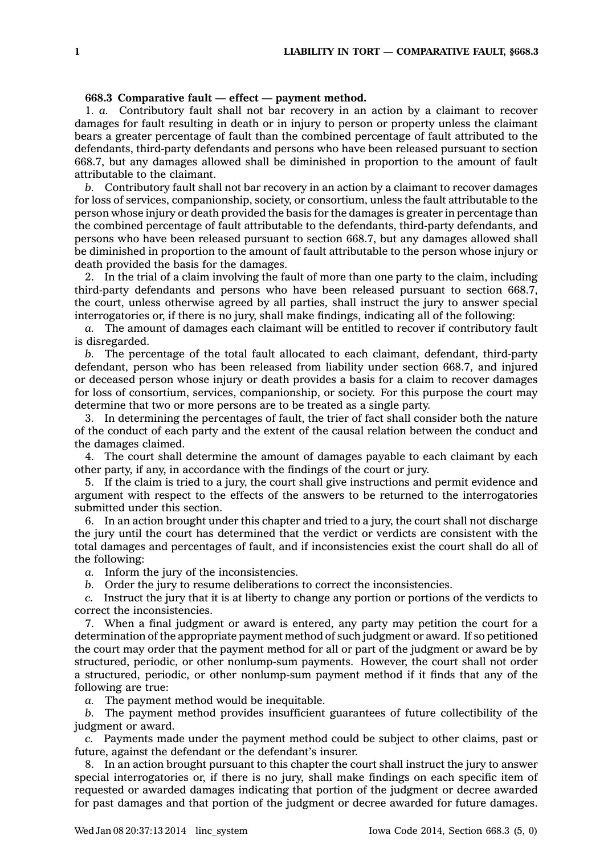## **668.3 Comparative fault — effect —payment method.**

1. *a.* Contributory fault shall not bar recovery in an action by <sup>a</sup> claimant to recover damages for fault resulting in death or in injury to person or property unless the claimant bears <sup>a</sup> greater percentage of fault than the combined percentage of fault attributed to the defendants, third-party defendants and persons who have been released pursuant to section 668.7, but any damages allowed shall be diminished in proportion to the amount of fault attributable to the claimant.

*b.* Contributory fault shall not bar recovery in an action by <sup>a</sup> claimant to recover damages for loss of services, companionship, society, or consortium, unless the fault attributable to the person whose injury or death provided the basis for the damages is greater in percentage than the combined percentage of fault attributable to the defendants, third-party defendants, and persons who have been released pursuant to section 668.7, but any damages allowed shall be diminished in proportion to the amount of fault attributable to the person whose injury or death provided the basis for the damages.

2. In the trial of <sup>a</sup> claim involving the fault of more than one party to the claim, including third-party defendants and persons who have been released pursuant to section 668.7, the court, unless otherwise agreed by all parties, shall instruct the jury to answer special interrogatories or, if there is no jury, shall make findings, indicating all of the following:

*a.* The amount of damages each claimant will be entitled to recover if contributory fault is disregarded.

*b.* The percentage of the total fault allocated to each claimant, defendant, third-party defendant, person who has been released from liability under section 668.7, and injured or deceased person whose injury or death provides <sup>a</sup> basis for <sup>a</sup> claim to recover damages for loss of consortium, services, companionship, or society. For this purpose the court may determine that two or more persons are to be treated as <sup>a</sup> single party.

3. In determining the percentages of fault, the trier of fact shall consider both the nature of the conduct of each party and the extent of the causal relation between the conduct and the damages claimed.

4. The court shall determine the amount of damages payable to each claimant by each other party, if any, in accordance with the findings of the court or jury.

5. If the claim is tried to <sup>a</sup> jury, the court shall give instructions and permit evidence and argument with respect to the effects of the answers to be returned to the interrogatories submitted under this section.

6. In an action brought under this chapter and tried to <sup>a</sup> jury, the court shall not discharge the jury until the court has determined that the verdict or verdicts are consistent with the total damages and percentages of fault, and if inconsistencies exist the court shall do all of the following:

*a.* Inform the jury of the inconsistencies.

*b.* Order the jury to resume deliberations to correct the inconsistencies.

*c.* Instruct the jury that it is at liberty to change any portion or portions of the verdicts to correct the inconsistencies.

7. When <sup>a</sup> final judgment or award is entered, any party may petition the court for <sup>a</sup> determination of the appropriate payment method of such judgment or award. If so petitioned the court may order that the payment method for all or part of the judgment or award be by structured, periodic, or other nonlump-sum payments. However, the court shall not order <sup>a</sup> structured, periodic, or other nonlump-sum payment method if it finds that any of the following are true:

*a.* The payment method would be inequitable.

*b.* The payment method provides insufficient guarantees of future collectibility of the judgment or award.

*c.* Payments made under the payment method could be subject to other claims, past or future, against the defendant or the defendant's insurer.

8. In an action brought pursuant to this chapter the court shall instruct the jury to answer special interrogatories or, if there is no jury, shall make findings on each specific item of requested or awarded damages indicating that portion of the judgment or decree awarded for past damages and that portion of the judgment or decree awarded for future damages.